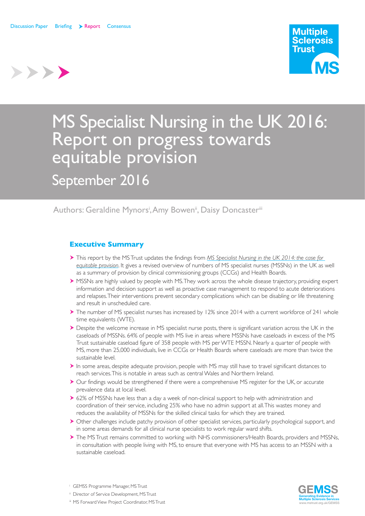>>>>



# MS Specialist Nursing in the UK 2016: Report on progress towards equitable provision

September 2016

# Authors: Geraldine Mynors<sup>i</sup>, Amy Bowen<sup>i</sup>, Daisy Doncaster<sup>iii</sup>

# **Executive Summary**

- This report by the MS Trust updates the findings from *MS Specialist Nursing in the UK 2014: the case for equitable provision*. It gives a revised overview of numbers of MS specialist nurses (MSSNs) in the UK as well as a summary of provision by clinical commissioning groups (CCGs) and Health Boards.
- MSSNs are highly valued by people with MS. They work across the whole disease trajectory, providing expert information and decision support as well as proactive case management to respond to acute deteriorations and relapses. Their interventions prevent secondary complications which can be disabling or life threatening and result in unscheduled care.
- The number of MS specialist nurses has increased by 12% since 2014 with a current workforce of 241 whole time equivalents (WTE).
- Despite the welcome increase in MS specialist nurse posts, there is significant variation across the UK in the caseloads of MSSNs. 64% of people with MS live in areas where MSSNs have caseloads in excess of the MS Trust sustainable caseload figure of 358 people with MS per WTE MSSN. Nearly a quarter of people with MS, more than 25,000 individuals, live in CCGs or Health Boards where caseloads are more than twice the sustainable level.
- $\blacktriangleright$  In some areas, despite adequate provision, people with MS may still have to travel significant distances to reach services. This is notable in areas such as central Wales and Northern Ireland.
- Our findings would be strengthened if there were a comprehensive MS register for the UK, or accurate prevalence data at local level.
- ▶ 62% of MSSNs have less than a day a week of non-clinical support to help with administration and coordination of their service, including 25% who have no admin support at all. This wastes money and reduces the availability of MSSNs for the skilled clinical tasks for which they are trained.
- Other challenges include patchy provision of other specialist services, particularly psychological support, and in some areas demands for all clinical nurse specialists to work regular ward shifts.
- The MS Trust remains committed to working with NHS commissioners/Health Boards, providers and MSSNs, in consultation with people living with MS, to ensure that everyone with MS has access to an MSSN with a sustainable caseload.



- <sup>i</sup> GEMSS Programme Manager, MS Trust
- ii Director of Service Development, MS Trust
- iii MS Forward View Project Coordinator, MS Trust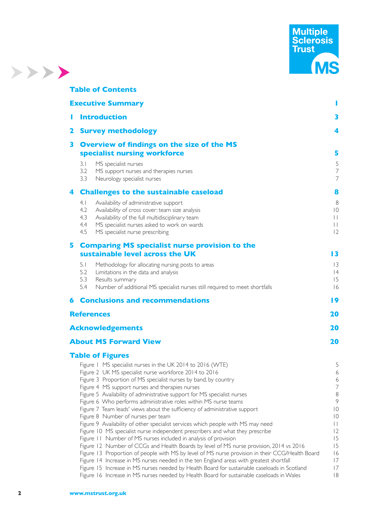

|   | <b>Table of Contents</b>                                                                                                                         |                                                      |
|---|--------------------------------------------------------------------------------------------------------------------------------------------------|------------------------------------------------------|
|   | <b>Executive Summary</b>                                                                                                                         | ı                                                    |
| ı | <b>Introduction</b>                                                                                                                              | 3                                                    |
| 2 | <b>Survey methodology</b>                                                                                                                        | 4                                                    |
| 3 | <b>Overview of findings on the size of the MS</b>                                                                                                |                                                      |
|   | specialist nursing workforce                                                                                                                     | 5                                                    |
|   | MS specialist nurses<br>3.1                                                                                                                      | 5                                                    |
|   | 3.2<br>MS support nurses and therapies nurses                                                                                                    | $\overline{7}$<br>$\overline{7}$                     |
|   | 3.3<br>Neurology specialist nurses                                                                                                               |                                                      |
| 4 | <b>Challenges to the sustainable caseload</b>                                                                                                    | 8                                                    |
|   | 4.1<br>Availability of administrative support                                                                                                    | 8                                                    |
|   | 4.2<br>Availability of cross cover: team size analysis<br>4.3<br>Availability of the full multidisciplinary team                                 | $ 0\rangle$<br>$\begin{array}{c} \hline \end{array}$ |
|   | 4.4<br>MS specialist nurses asked to work on wards                                                                                               | $\begin{array}{c} \hline \end{array}$                |
|   | 4.5<br>MS specialist nurse prescribing                                                                                                           | 12                                                   |
|   | 5 Comparing MS specialist nurse provision to the                                                                                                 |                                                      |
|   | sustainable level across the UK                                                                                                                  | $\overline{13}$                                      |
|   | 5.1<br>Methodology for allocating nursing posts to areas                                                                                         | 3                                                    |
|   | 5.2<br>Limitations in the data and analysis                                                                                                      | 4                                                    |
|   | 5.3<br>Results summary                                                                                                                           | 15                                                   |
|   | 5.4<br>Number of additional MS specialist nurses still required to meet shortfalls                                                               | 6                                                    |
| 6 | <b>Conclusions and recommendations</b>                                                                                                           | 19                                                   |
|   | <b>References</b>                                                                                                                                | 20                                                   |
|   | <b>Acknowledgements</b>                                                                                                                          | 20                                                   |
|   | <b>About MS Forward View</b>                                                                                                                     | 20                                                   |
|   | <b>Table of Figures</b>                                                                                                                          |                                                      |
|   | Figure 1 MS specialist nurses in the UK 2014 to 2016 (WTE)                                                                                       | 5                                                    |
|   | Figure 2 UK MS specialist nurse workforce 2014 to 2016                                                                                           | 6                                                    |
|   | Figure 3 Proportion of MS specialist nurses by band, by country                                                                                  | 6                                                    |
|   | Figure 4 MS support nurses and therapies nurses<br>Figure 5 Availability of administrative support for MS specialist nurses                      | $\overline{7}$<br>$\,8\,$                            |
|   | Figure 6 Who performs administrative roles within MS nurse teams                                                                                 | $\overline{9}$                                       |
|   | Figure 7 Team leads' views about the sufficiency of administrative support                                                                       | $\overline{0}$                                       |
|   | Figure 8 Number of nurses per team                                                                                                               | $ 0\rangle$                                          |
|   | Figure 9 Availability of other specialist services which people with MS may need                                                                 | $\perp$                                              |
|   | Figure 10 MS specialist nurse independent prescribers and what they prescribe<br>Figure 11 Number of MS nurses included in analysis of provision | 2<br>15                                              |
|   | Figure 12 Number of CCGs and Health Boards by level of MS nurse provision, 2014 vs 2016                                                          | 15                                                   |
|   | Figure 13 Proportion of people with MS by level of MS nurse provision in their CCG/Health Board                                                  | 6                                                    |
|   | Figure 14 Increase in MS nurses needed in the ten England areas with greatest shortfall                                                          | 17                                                   |
|   | Figure 15 Increase in MS nurses needed by Health Board for sustainable caseloads in Scotland                                                     | 17                                                   |
|   | Figure 16 Increase in MS nurses needed by Health Board for sustainable caseloads in Wales                                                        | 8                                                    |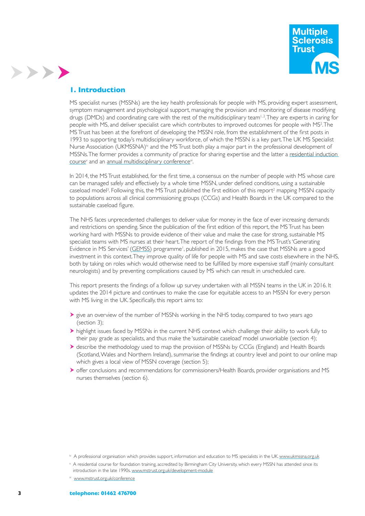

#### **1. Introduction**

>>>>

MS specialist nurses (MSSNs) are the key health professionals for people with MS, providing expert assessment, symptom management and psychological support, managing the provision and monitoring of disease modifying drugs (DMDs) and coordinating care with the rest of the multidisciplinary team<sup>1,2</sup>. They are experts in caring for people with MS, and deliver specialist care which contributes to improved outcomes for people with MS<sup>2</sup>. The MS Trust has been at the forefront of developing the MSSN role, from the establishment of the frst posts in 1993 to supporting today's multidisciplinary workforce, of which the MSSN is a key part. The UK MS Specialist Nurse Association (UKMSSNA)<sup>iv</sup> and the MS Trust both play a major part in the professional development of MSSNs. The former provides a community of practice for sharing expertise and the latter a residential induction course<sup>v</sup> and an annual multidisciplinary conference<sup>vi</sup>.

In 2014, the MS Trust established, for the frst time, a consensus on the number of people with MS whose care can be managed safely and effectively by a whole time MSSN, under defned conditions, using a sustainable caseload model<sup>3</sup>. Following this, the MS Trust published the first edition of this report<sup>2</sup> mapping MSSN capacity to populations across all clinical commissioning groups (CCGs) and Health Boards in the UK compared to the sustainable caseload figure.

The NHS faces unprecedented challenges to deliver value for money in the face of ever increasing demands and restrictions on spending. Since the publication of the frst edition of this report, the MS Trust has been working hard with MSSNs to provide evidence of their value and make the case for strong, sustainable MS specialist teams with MS nurses at their heart. The report of the fndings from the MS Trust's 'Generating Evidence in MS Services' (GEMSS) programme<sup>1</sup>, published in 2015, makes the case that MSSNs are a good investment in this context. They improve quality of life for people with MS and save costs elsewhere in the NHS, both by taking on roles which would otherwise need to be fulflled by more expensive staff (mainly consultant neurologists) and by preventing complications caused by MS which can result in unscheduled care.

This report presents the fndings of a follow up survey undertaken with all MSSN teams in the UK in 2016. It updates the 2014 picture and continues to make the case for equitable access to an MSSN for every person with MS living in the UK. Specifcally, this report aims to:

- igive an overview of the number of MSSNs working in the NHS today, compared to two years ago (section 3);
- highlight issues faced by MSSNs in the current NHS context which challenge their ability to work fully to their pay grade as specialists, and thus make the 'sustainable caseload' model unworkable (section 4);
- describe the methodology used to map the provision of MSSNs by CCGs (England) and Health Boards (Scotland, Wales and Northern Ireland), summarise the findings at country level and point to our online map which gives a local view of MSSN coverage (section 5);
- offer conclusions and recommendations for commissioners/Health Boards, provider organisations and MS nurses themselves (section 6).

iv A professional organisation which provides support, information and education to MS specialists in the UK. www.ukmssna.org.uk

v A residential course for foundation training, accredited by Birmingham City University, which every MSSN has attended since its introduction in the late 1990s. www.mstrust.org.uk/development-module

vi www.mstrust.org.uk/conference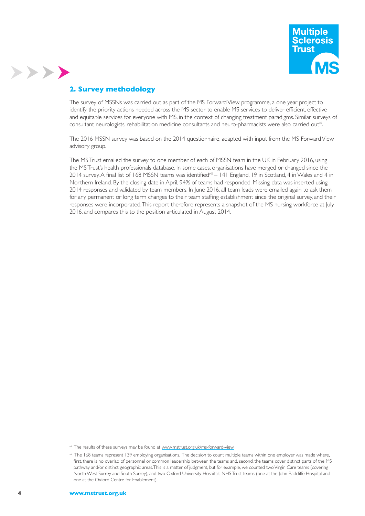

# **2. Survey methodology**

>>>>

The survey of MSSNs was carried out as part of the MS Forward View programme, a one year project to identify the priority actions needed across the MS sector to enable MS services to deliver efficient, effective and equitable services for everyone with MS, in the context of changing treatment paradigms. Similar surveys of consultant neurologists, rehabilitation medicine consultants and neuro-pharmacists were also carried out<sup>vii</sup>.

The 2016 MSSN survey was based on the 2014 questionnaire, adapted with input from the MS Forward View advisory group.

The MS Trust emailed the survey to one member of each of MSSN team in the UK in February 2016, using the MS Trust's health professionals database. In some cases, organisations have merged or changed since the 2014 survey. A final list of 168 MSSN teams was identified<sup>viii</sup> – 141 England, 19 in Scotland, 4 in Wales and 4 in Northern Ireland. By the closing date in April, 94% of teams had responded. Missing data was inserted using 2014 responses and validated by team members. In June 2016, all team leads were emailed again to ask them for any permanent or long term changes to their team staffing establishment since the original survey, and their responses were incorporated. This report therefore represents a snapshot of the MS nursing workforce at July 2016, and compares this to the position articulated in August 2014.

vii The results of these surveys may be found at www.mstrust.org.uk/ms-forward-view

viii The 168 teams represent 139 employing organisations. The decision to count multiple teams within one employer was made where, first, there is no overlap of personnel or common leadership between the teams and, second, the teams cover distinct parts of the MS pathway and/or distinct geographic areas. This is a matter of judgment, but for example, we counted two Virgin Care teams (covering North West Surrey and South Surrey), and two Oxford University Hospitals NHS Trust teams (one at the John Radcliffe Hospital and one at the Oxford Centre for Enablement).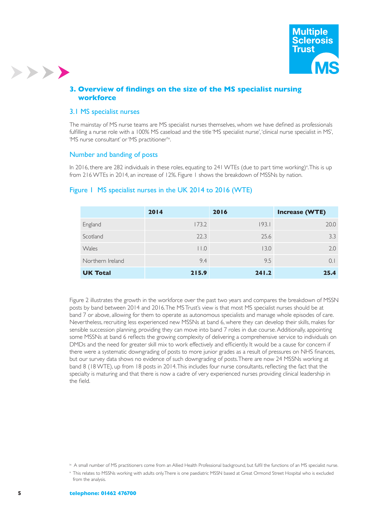

#### **3. Overview of fndings on the size of the MS specialist nursing workforce**

#### 3.1 MS specialist nurses

>>>>

The mainstay of MS nurse teams are MS specialist nurses themselves, whom we have defned as professionals fulfilling a nurse role with a 100% MS caseload and the title 'MS specialist nurse', 'clinical nurse specialist in MS', 'MS nurse consultant' or 'MS practitioner'ix.

#### Number and banding of posts

In 2016, there are 282 individuals in these roles, equating to 241 WTEs (due to part time working)<sup>x</sup>. This is up from 216 WTEs in 2014, an increase of 12%. Figure 1 shows the breakdown of MSSNs by nation.

#### Figure 1 MS specialist nurses in the UK 2014 to 2016 (WTE)

|                  | 2014            | 2016  | <b>Increase (WTE)</b> |
|------------------|-----------------|-------|-----------------------|
| England          | 173.2           | 193.1 | 20.0                  |
| Scotland         | 22.3            | 25.6  | 3.3                   |
| Wales            | $ $ $ $ $ $ $ $ | 13.0  | 2.0                   |
| Northern Ireland | 9.4             | 9.5   | $\Omega$ .            |
| <b>UK Total</b>  | 215.9           | 241.2 | 25.4                  |

Figure 2 illustrates the growth in the workforce over the past two years and compares the breakdown of MSSN posts by band between 2014 and 2016. The MS Trust's view is that most MS specialist nurses should be at band 7 or above, allowing for them to operate as autonomous specialists and manage whole episodes of care. Nevertheless, recruiting less experienced new MSSNs at band 6, where they can develop their skills, makes for sensible succession planning, providing they can move into band 7 roles in due course. Additionally, appointing some MSSNs at band 6 refects the growing complexity of delivering a comprehensive service to individuals on DMDs and the need for greater skill mix to work effectively and efficiently. It would be a cause for concern if there were a systematic downgrading of posts to more junior grades as a result of pressures on NHS fnances, but our survey data shows no evidence of such downgrading of posts. There are now 24 MSSNs working at band 8 (18 WTE), up from 18 posts in 2014. This includes four nurse consultants, refecting the fact that the specialty is maturing and that there is now a cadre of very experienced nurses providing clinical leadership in the field.

ix A small number of MS practitioners come from an Allied Health Professional background, but fulfil the functions of an MS specialist nurse.

x This relates to MSSNs working with adults only. There is one paediatric MSSN based at Great Ormond Street Hospital who is excluded from the analysis.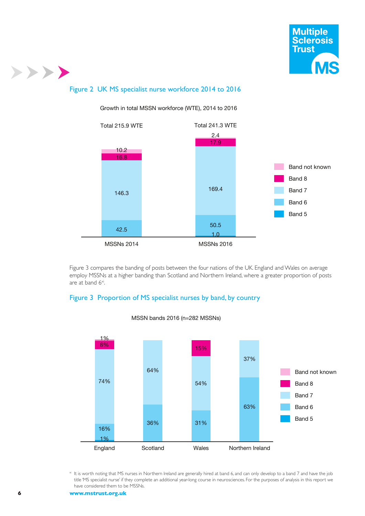

# Figure 2 UK MS specialist nurse workforce 2014 to 2016



Growth in total MSSN workforce (WTE), 2014 to 2016

Figure 3 compares the banding of posts between the four nations of the UK. England and Wales on average employ MSSNs at a higher banding than Scotland and Northern Ireland, where a greater proportion of posts are at band 6<sup>xi</sup>.

#### Figure 3 Proportion of MS specialist nurses by band, by country



MSSN bands 2016 (n=282 MSSNs)

xi It is worth noting that MS nurses in Northern Ireland are generally hired at band 6, and can only develop to a band 7 and have the job title 'MS specialist nurse' if they complete an additional year-long course in neurosciences. For the purposes of analysis in this report we have considered them to be MSSNs.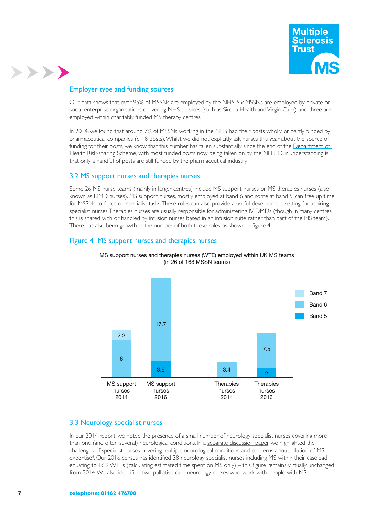

## Employer type and funding sources

>>>>

Our data shows that over 95% of MSSNs are employed by the NHS. Six MSSNs are employed by private or social enterprise organisations delivering NHS services (such as Sirona Health and Virgin Care), and three are employed within charitably funded MS therapy centres.

In 2014, we found that around 7% of MSSNs working in the NHS had their posts wholly or partly funded by pharmaceutical companies (c. 18 posts). Whilst we did not explicitly ask nurses this year about the source of funding for their posts, we know that this number has fallen substantially since the end of the Department of Health Risk-sharing Scheme, with most funded posts now being taken on by the NHS. Our understanding is that only a handful of posts are still funded by the pharmaceutical industry.

#### 3.2 MS support nurses and therapies nurses

Some 26 MS nurse teams (mainly in larger centres) include MS support nurses or MS therapies nurses (also known as DMD nurses). MS support nurses, mostly employed at band 6 and some at band 5, can free up time for MSSNs to focus on specialist tasks. These roles can also provide a useful development setting for aspiring specialist nurses. Therapies nurses are usually responsible for administering IV DMDs (though in many centres this is shared with or handled by infusion nurses based in an infusion suite rather than part of the MS team). There has also been growth in the number of both these roles, as shown in figure 4.

#### Figure 4 MS support nurses and therapies nurses



MS support nurses and therapies nurses (WTE) employed within UK MS teams (in 26 of 168 MSSN teams)

# 3.3 Neurology specialist nurses

In our 2014 report, we noted the presence of a small number of neurology specialist nurses covering more than one (and often several) neurological conditions. In a separate discussion paper, we highlighted the challenges of specialist nurses covering multiple neurological conditions and concerns about dilution of MS expertise4 . Our 2016 census has identifed 38 neurology specialist nurses including MS within their caseload, equating to 16.9 WTEs (calculating estimated time spent on MS only) – this fgure remains virtually unchanged from 2014. We also identifed two palliative care neurology nurses who work with people with MS.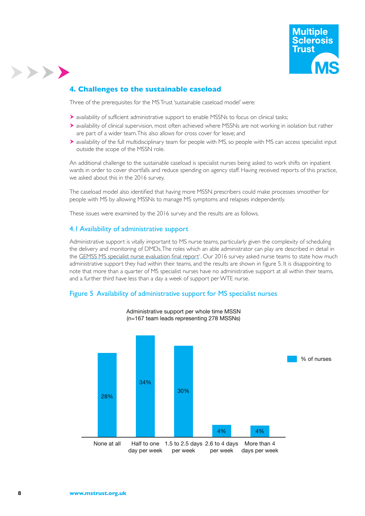

# **4. Challenges to the sustainable caseload**

Three of the prerequisites for the MS Trust 'sustainable caseload model' were:

- availability of sufficient administrative support to enable MSSNs to focus on clinical tasks;
- availability of clinical supervision, most often achieved where MSSNs are not working in isolation but rather are part of a wider team. This also allows for cross cover for leave; and
- availability of the full multidisciplinary team for people with MS, so people with MS can access specialist input outside the scope of the MSSN role.

An additional challenge to the sustainable caseload is specialist nurses being asked to work shifts on inpatient wards in order to cover shortfalls and reduce spending on agency staff. Having received reports of this practice, we asked about this in the 2016 survey.

The caseload model also identifed that having more MSSN prescribers could make processes smoother for people with MS by allowing MSSNs to manage MS symptoms and relapses independently.

These issues were examined by the 2016 survey and the results are as follows.

#### 4.1 Availability of administrative support

Administrative support is vitally important to MS nurse teams, particularly given the complexity of scheduling the delivery and monitoring of DMDs. The roles which an able administrator can play are described in detail in the GEMSS MS specialist nurse evaluation final report<sup>1</sup>. Our 2016 survey asked nurse teams to state how much administrative support they had within their teams, and the results are shown in fgure 5. It is disappointing to note that more than a quarter of MS specialist nurses have no administrative support at all within their teams, and a further third have less than a day a week of support per WTE nurse.

#### Figure 5 Availability of administrative support for MS specialist nurses



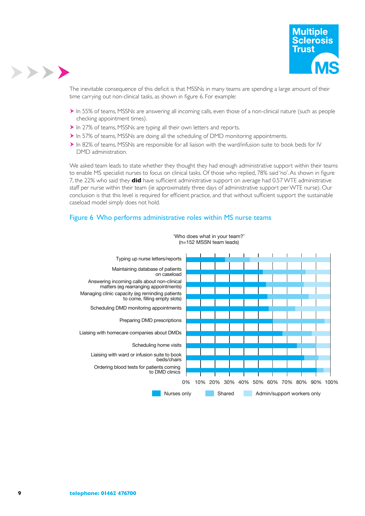

The inevitable consequence of this deficit is that MSSNs in many teams are spending a large amount of their time carrying out non-clinical tasks, as shown in fgure 6. For example:

- In 55% of teams, MSSNs are answering all incoming calls, even those of a non-clinical nature (such as people checking appointment times).
- In 27% of teams, MSSNs are typing all their own letters and reports.
- $\triangleright$  In 57% of teams, MSSNs are doing all the scheduling of DMD monitoring appointments.
- In 82% of teams, MSSNs are responsible for all liaison with the ward/infusion suite to book beds for IV DMD administration.

We asked team leads to state whether they thought they had enough administrative support within their teams to enable MS specialist nurses to focus on clinical tasks. Of those who replied, 78% said 'no'. As shown in fgure 7, the 22% who said they **did** have suffcient administrative support on average had 0.57 WTE administrative staff per nurse within their team (ie approximately three days of administrative support per WTE nurse). Our conclusion is that this level is required for efficient practice, and that without sufficient support the sustainable caseload model simply does not hold.

#### Figure 6 Who performs administrative roles within MS nurse teams



'Who does what in your team?' (n=152 MSSN team leads)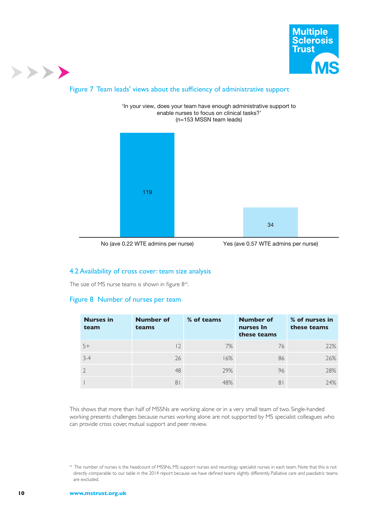

# Figure 7 Team leads' views about the sufficiency of administrative support



'In your view, does your team have enough administrative support to enable nurses to focus on clinical tasks?'

No (ave 0.22 WTE admins per nurse) Yes (ave 0.57 WTE admins per nurse)

#### 4.2 Availability of cross cover: team size analysis

The size of MS nurse teams is shown in figure  $8^{\times i}$ .

#### Figure 8 Number of nurses per team

| <b>Nurses in</b><br>team | <b>Number of</b><br>teams | % of teams | <b>Number of</b><br>nurses In<br>these teams | % of nurses in<br>these teams |
|--------------------------|---------------------------|------------|----------------------------------------------|-------------------------------|
| $5+$                     | 2                         | 7%         | 76                                           | 22%                           |
| $3-4$                    | 26                        | 16%        | 86                                           | 26%                           |
|                          | 48                        | 29%        | 96                                           | 28%                           |
|                          | 8 <sup>1</sup>            | 48%        | 8 I                                          | 24%                           |

This shows that more than half of MSSNs are working alone or in a very small team of two. Single-handed working presents challenges because nurses working alone are not supported by MS specialist colleagues who can provide cross cover, mutual support and peer review.

xii The number of nurses is the headcount of MSSNs, MS support nurses and neurology specialist nurses in each team. Note that this is not directly comparable to our table in the 2014 report because we have defned teams slightly differently. Palliative care and paediatric teams are excluded.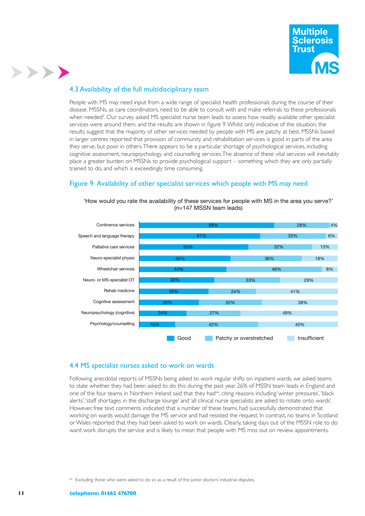

# 4.3 Availability of the full multidisciplinary team

>>>>

People with MS may need input from a wide range of specialist health professionals during the course of their disease. MSSNs, as care coordinators, need to be able to consult with and make referrals to these professionals when needed<sup>5</sup>. Our survey asked MS specialist nurse team leads to assess how readily available other specialist services were around them, and the results are shown in fgure 9. Whilst only indicative of the situation, the results suggest that the majority of other services needed by people with MS are patchy at best. MSSNs based in larger centres reported that provision of community and rehabilitation services is good in parts of the area they serve, but poor in others. There appears to be a particular shortage of psychological services, including cognitive assessment, neuropsychology and counselling services. The absence of these vital services will inevitably place a greater burden on MSSNs to provide psychological support – something which they are only partially trained to do, and which is exceedingly time consuming.

#### Figure 9 Availability of other specialist services which people with MS may need



'How would you rate the availability of these services for people with MS in the area you serve?'  $(n=147$  MSSN team leads)

#### 4.4 MS specialist nurses asked to work on wards

Following anecdotal reports of MSSNs being asked to work regular shifts on inpatient wards, we asked teams to state whether they had been asked to do this during the past year. 26% of MSSN team leads in England and one of the four teams in Northern Ireland said that they had<sup>xiii</sup>, citing reasons including 'winter pressures', 'black alerts', 'staff shortages in the discharge lounge' and 'all clinical nurse specialists are asked to rotate onto wards'. However, free text comments indicated that a number of these teams had successfully demonstrated that working on wards would damage the MS service and had resisted the request. In contrast, no teams in Scotland or Wales reported that they had been asked to work on wards. Clearly, taking days out of the MSSN role to do ward work disrupts the service and is likely to mean that people with MS miss out on review appointments.

Excluding those who were asked to do so as a result of the junior doctors' industrial disputes.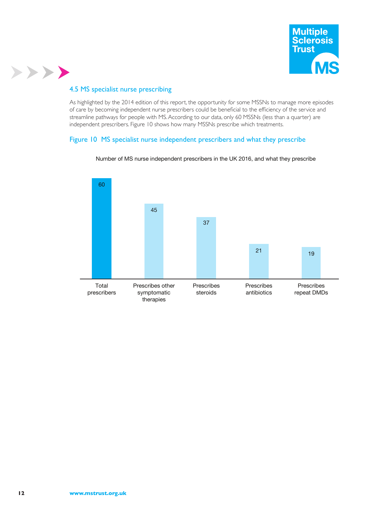

# 4.5 MS specialist nurse prescribing

>>>>

As highlighted by the 2014 edition of this report, the opportunity for some MSSNs to manage more episodes of care by becoming independent nurse prescribers could be benefcial to the effciency of the service and streamline pathways for people with MS. According to our data, only 60 MSSNs (less than a quarter) are independent prescribers. Figure 10 shows how many MSSNs prescribe which treatments.

#### Figure 10 MS specialist nurse independent prescribers and what they prescribe



#### Number of MS nurse independent prescribers in the UK 2016, and what they prescribe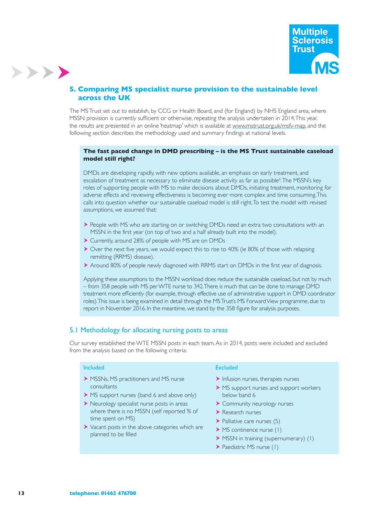

# **5. Comparing MS specialist nurse provision to the sustainable level across the UK**

The MS Trust set out to establish, by CCG or Health Board, and (for England) by NHS England area, where MSSN provision is currently sufficient or otherwise, repeating the analysis undertaken in 2014. This year, the results are presented in an online 'heatmap' which is available at www.mstrust.org.uk/msfv-map, and the following section describes the methodology used and summary fndings at national levels.

#### **The fast paced change in DMD prescribing – is the MS Trust sustainable caseload model still right?**

DMDs are developing rapidly, with new options available, an emphasis on early treatment, and escalation of treatment as necessary to eliminate disease activity as far as possible<sup>6</sup>. The MSSN's key roles of supporting people with MS to make decisions about DMDs, initiating treatment, monitoring for adverse effects and reviewing effectiveness is becoming ever more complex and time consuming. This calls into question whether our sustainable caseload model is still right. To test the model with revised assumptions, we assumed that:

- People with MS who are starting on or switching DMDs need an extra two consultations with an MSSN in the first year (on top of two and a half already built into the model).
- Currently, around 28% of people with MS are on DMDs
- Over the next five years, we would expect this to rise to 40% (ie 80% of those with relapsing remitting (RRMS) disease).
- Around 80% of people newly diagnosed with RRMS start on DMDs in the first year of diagnosis.

Applying these assumptions to the MSSN workload does reduce the sustainable caseload, but not by much – from 358 people with MS per WTE nurse to 342. There is much that can be done to manage DMD treatment more effciently (for example, through effective use of administrative support in DMD coordinator roles). This issue is being examined in detail through the MS Trust's MS Forward View programme, due to report in November 2016. In the meantime, we stand by the 358 fgure for analysis purposes.

#### 5.1 Methodology for allocating nursing posts to areas

Our survey established the WTE MSSN posts in each team. As in 2014, posts were included and excluded from the analysis based on the following criteria:

#### Included

- MSSNs, MS practitioners and MS nurse consultants
- MS support nurses (band 6 and above only)
- Neurology specialist nurse posts in areas where there is no MSSN (self reported % of time spent on MS)
- Vacant posts in the above categories which are planned to be filled

#### **Excluded**

- $\blacktriangleright$  Infusion nurses, therapies nurses
- MS support nurses and support workers below band 6
- Community neurology nurses
- Research nurses
- $\blacktriangleright$  Palliative care nurses (5)
- MS continence nurse (1)
- MSSN in training (supernumerary) (1)
- ▶ Paediatric MS nurse (1)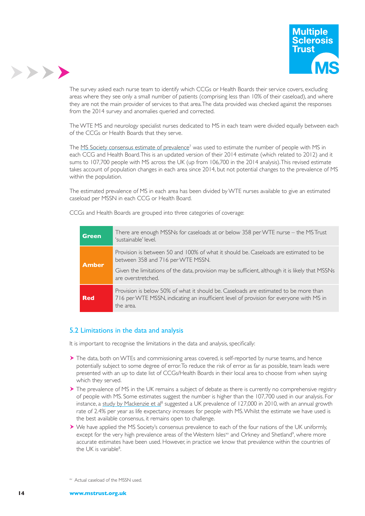



The survey asked each nurse team to identify which CCGs or Health Boards their service covers, excluding areas where they see only a small number of patients (comprising less than 10% of their caseload), and where they are not the main provider of services to that area. The data provided was checked against the responses from the 2014 survey and anomalies queried and corrected.

The WTE MS and neurology specialist nurses dedicated to MS in each team were divided equally between each of the CCGs or Health Boards that they serve.

The MS Society consensus estimate of prevalence<sup>7</sup> was used to estimate the number of people with MS in each CCG and Health Board. This is an updated version of their 2014 estimate (which related to 2012) and it sums to 107,700 people with MS across the UK (up from 106,700 in the 2014 analysis). This revised estimate takes account of population changes in each area since 2014, but not potential changes to the prevalence of MS within the population.

The estimated prevalence of MS in each area has been divided by WTE nurses available to give an estimated caseload per MSSN in each CCG or Health Board.

CCGs and Health Boards are grouped into three categories of coverage:

| Green        | There are enough MSSNs for caseloads at or below 358 per WTE nurse – the MS Trust<br>'sustainable' level.                                                                                                                                           |
|--------------|-----------------------------------------------------------------------------------------------------------------------------------------------------------------------------------------------------------------------------------------------------|
| <b>Amber</b> | Provision is between 50 and 100% of what it should be. Caseloads are estimated to be<br>between 358 and 716 per WTE MSSN.<br>Given the limitations of the data, provision may be sufficient, although it is likely that MSSNs<br>are overstretched. |
| <b>Red</b>   | Provision is below 50% of what it should be. Caseloads are estimated to be more than<br>716 per WTE MSSN, indicating an insufficient level of provision for everyone with MS in<br>the area.                                                        |

#### 5.2 Limitations in the data and analysis

It is important to recognise the limitations in the data and analysis, specifcally:

- The data, both on WTEs and commissioning areas covered, is self-reported by nurse teams, and hence potentially subject to some degree of error. To reduce the risk of error as far as possible, team leads were presented with an up to date list of CCGs/Health Boards in their local area to choose from when saying which they served.
- The prevalence of MS in the UK remains a subject of debate as there is currently no comprehensive registry of people with MS. Some estimates suggest the number is higher than the 107,700 used in our analysis. For instance, a study by Mackenzie et al<sup>8</sup> suggested a UK prevalence of 127,000 in 2010, with an annual growth rate of 2.4% per year as life expectancy increases for people with MS. Whilst the estimate we have used is the best available consensus, it remains open to challenge.
- We have applied the MS Society's consensus prevalence to each of the four nations of the UK uniformly, except for the very high prevalence areas of the Western Isles $\alpha$  and Orkney and Shetland<sup>9</sup>, where more accurate estimates have been used. However, in practice we know that prevalence within the countries of the UK is variable<sup>8</sup>.

xv Actual caseload of the MSSN used.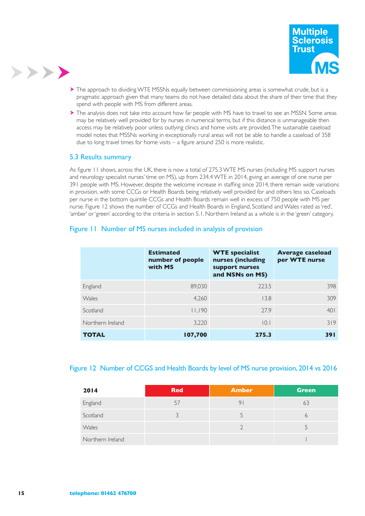



- The approach to dividing WTE MSSNs equally between commissioning areas is somewhat crude, but is a pragmatic approach given that many teams do not have detailed data about the share of their time that they spend with people with MS from different areas.
- The analysis does not take into account how far people with MS have to travel to see an MSSN. Some areas may be relatively well provided for by nurses in numerical terms, but if this distance is unmanageable then access may be relatively poor unless outlying clinics and home visits are provided. The sustainable caseload model notes that MSSNs working in exceptionally rural areas will not be able to handle a caseload of 358 due to long travel times for home visits – a figure around 250 is more realistic.

#### 5.3 Results summary

As fgure 11 shows, across the UK, there is now a total of 275.3 WTE MS nurses (including MS support nurses and neurology specialist nurses' time on MS), up from 234.4 WTE in 2014, giving an average of one nurse per 391 people with MS. However, despite the welcome increase in staffng since 2014, there remain wide variations in provision, with some CCGs or Health Boards being relatively well provided for and others less so. Caseloads per nurse in the bottom quintile CCGs and Health Boards remain well in excess of 750 people with MS per nurse. Figure 12 shows the number of CCGs and Health Boards in England, Scotland and Wales rated as 'red', 'amber' or 'green' according to the criteria in section 5.1. Northern Ireland as a whole is in the 'green' category.

# Figure 11 Number of MS nurses included in analysis of provision

|                  | <b>Estimated</b><br>number of people<br>with MS | <b>WTE specialist</b><br>nurses (including<br>support nurses<br>and NSNs on MS) | <b>Average caseload</b><br>per WTE nurse |
|------------------|-------------------------------------------------|---------------------------------------------------------------------------------|------------------------------------------|
| England          | 89,030                                          | 223.5                                                                           | 398                                      |
| Wales            | 4,260                                           | 13.8                                                                            | 309                                      |
| Scotland         | 11,190                                          | 27.9                                                                            | 401                                      |
| Northern Ireland | 3.220                                           | 0.1                                                                             | 319                                      |
| <b>TOTAL</b>     | 107,700                                         | 275.3                                                                           | 391                                      |

#### Figure 12 Number of CCGS and Health Boards by level of MS nurse provision, 2014 vs 2016

| 2014             | <b>Red</b> | <b>Amber</b> | Green |
|------------------|------------|--------------|-------|
| England          | 57         | 9            | 63    |
| Scotland         |            |              | 6     |
| Wales            |            |              |       |
| Northern Ireland |            |              |       |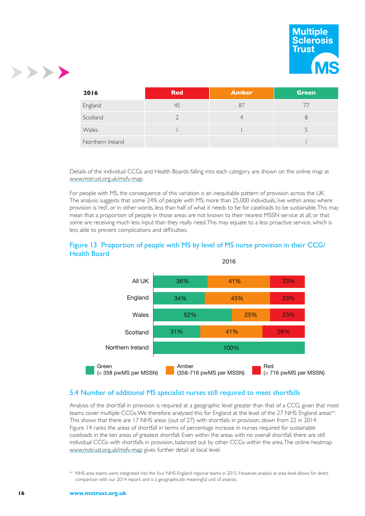



| 2016             | <b>Red</b> | <b>Amber</b> | <b>Green</b> |
|------------------|------------|--------------|--------------|
| England          | 45         | 87           |              |
| Scotland         |            |              |              |
| Wales            |            |              |              |
| Northern Ireland |            |              |              |

Details of the individual CCGs and Health Boards falling into each category are shown on the online map at www.mstrust.org.uk/msfv-map.

For people with MS, the consequence of this variation is an inequitable pattern of provision across the UK. The analysis suggests that some 24% of people with MS, more than 25,000 individuals, live within areas where provision is 'red', or in other words, less than half of what it needs to be for caseloads to be sustainable. This may mean that a proportion of people in those areas are not known to their nearest MSSN service at all, or that some are receiving much less input than they really need. This may equate to a less proactive service, which is less able to prevent complications and difficulties.





# 5.4 Number of additional MS specialist nurses still required to meet shortfalls

Analysis of the shortfall in provision is required at a geographic level greater than that of a CCG, given that most teams cover multiple CCGs. We therefore analysed this for England at the level of the 27 NHS England areas<sup>xvi</sup>. This shows that there are 17 NHS areas (out of 27) with shortfalls in provision, down from 22 in 2014. Figure 14 ranks the areas of shortfall in terms of percentage increase in nurses required for sustainable caseloads in the ten areas of greatest shortfall. Even within the areas with no overall shortfall, there are still individual CCGs with shortfalls in provision, balanced out by other CCGs within the area. The online heatmap www.mstrust.org.uk/msfv-map gives further detail at local level.

xvi NHS area teams were integrated into the four NHS England regional teams in 2015. However, analysis at area level allows for direct comparison with our 2014 report, and is a geographically meaningful unit of analysis.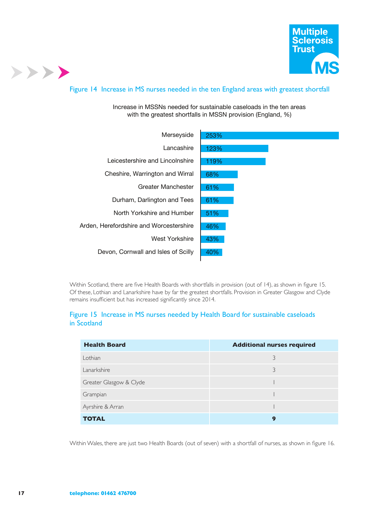

#### Figure 14 Increase in MS nurses needed in the ten England areas with greatest shortfall

#### Increase in MSSNs needed for sustainable caseloads in the ten areas with the greatest shortfalls in MSSN provision (England, %)



Within Scotland, there are fve Health Boards with shortfalls in provision (out of 14), as shown in fgure 15. Of these, Lothian and Lanarkshire have by far the greatest shortfalls. Provision in Greater Glasgow and Clyde remains insuffcient but has increased signifcantly since 2014.

#### Figure 15 Increase in MS nurses needed by Health Board for sustainable caseloads in Scotland

| <b>Health Board</b>     | <b>Additional nurses required</b> |
|-------------------------|-----------------------------------|
| Lothian                 | 3                                 |
| Lanarkshire             | 3                                 |
| Greater Glasgow & Clyde |                                   |
| Grampian                |                                   |
| Ayrshire & Arran        |                                   |
| <b>TOTAL</b>            | 9                                 |

Within Wales, there are just two Health Boards (out of seven) with a shortfall of nurses, as shown in fgure 16.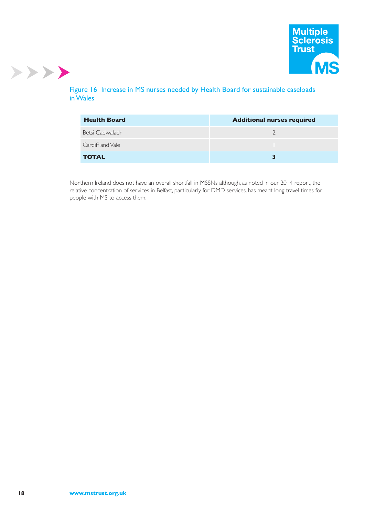

# Figure 16 Increase in MS nurses needed by Health Board for sustainable caseloads in Wales

| <b>Health Board</b> | <b>Additional nurses required</b> |
|---------------------|-----------------------------------|
| Betsi Cadwaladr     |                                   |
| Cardiff and Vale    |                                   |
| <b>TOTAL</b>        |                                   |

Northern Ireland does not have an overall shortfall in MSSNs although, as noted in our 2014 report, the relative concentration of services in Belfast, particularly for DMD services, has meant long travel times for people with MS to access them.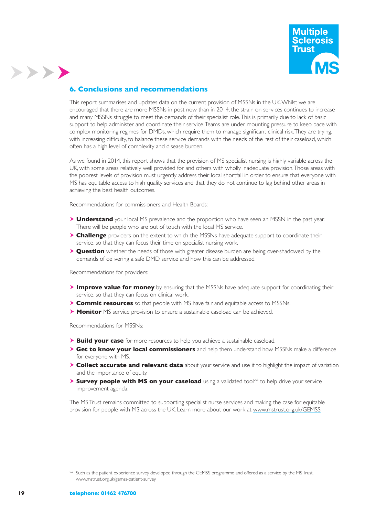

# **6. Conclusions and recommendations**

>>>>

This report summarises and updates data on the current provision of MSSNs in the UK. Whilst we are encouraged that there are more MSSNs in post now than in 2014, the strain on services continues to increase and many MSSNs struggle to meet the demands of their specialist role. This is primarily due to lack of basic support to help administer and coordinate their service. Teams are under mounting pressure to keep pace with complex monitoring regimes for DMDs, which require them to manage signifcant clinical risk. They are trying, with increasing diffculty, to balance these service demands with the needs of the rest of their caseload, which often has a high level of complexity and disease burden.

As we found in 2014, this report shows that the provision of MS specialist nursing is highly variable across the UK, with some areas relatively well provided for and others with wholly inadequate provision. Those areas with the poorest levels of provision must urgently address their local shortfall in order to ensure that everyone with MS has equitable access to high quality services and that they do not continue to lag behind other areas in achieving the best health outcomes.

Recommendations for commissioners and Health Boards:

- **Understand** your local MS prevalence and the proportion who have seen an MSSN in the past year. There will be people who are out of touch with the local MS service.
- **Challenge** providers on the extent to which the MSSNs have adequate support to coordinate their service, so that they can focus their time on specialist nursing work.
- **Question** whether the needs of those with greater disease burden are being over-shadowed by the demands of delivering a safe DMD service and how this can be addressed.

Recommendations for providers:

- **Improve value for money** by ensuring that the MSSNs have adequate support for coordinating their service, so that they can focus on clinical work.
- **Commit resources** so that people with MS have fair and equitable access to MSSNs.
- **Monitor** MS service provision to ensure a sustainable caseload can be achieved.

Recommendations for MSSNs:

- **Build your case** for more resources to help you achieve a sustainable caseload.
- **Get to know your local commissioners** and help them understand how MSSNs make a difference for everyone with MS.
- **Collect accurate and relevant data** about your service and use it to highlight the impact of variation and the importance of equity.
- **Survey people with MS on your caseload** using a validated toolxvii to help drive your service improvement agenda.

The MS Trust remains committed to supporting specialist nurse services and making the case for equitable provision for people with MS across the UK. Learn more about our work at www.mstrust.org.uk/GEMSS.

xvii Such as the patient experience survey developed through the GEMSS programme and offered as a service by the MS Trust. www.mstrust.org.uk/gemss-patient-survey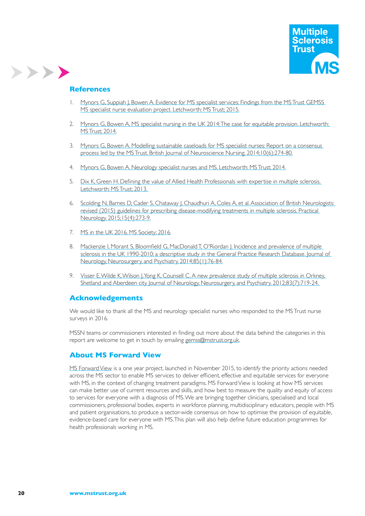

#### **References**

>>>>

- 1. Mynors G, Suppiah J, Bowen A. Evidence for MS specialist services: Findings from the MS Trust GEMSS MS specialist nurse evaluation project. Letchworth: MS Trust; 2015.
- 2. Mynors G, Bowen A. MS specialist nursing in the UK 2014: The case for equitable provision. Letchworth: MS Trust; 2014.
- 3. Mynors G, Bowen A. Modelling sustainable caseloads for MS specialist nurses: Report on a consensus process led by the MS Trust. British Journal of Neuroscience Nursing. 2014;10(6):274-80.
- 4. Mynors G, Bowen A. Neurology specialist nurses and MS. Letchworth: MS Trust; 2014.
- 5. Dix K, Green H. Defining the value of Allied Health Professionals with expertise in multiple sclerosis. Letchworth: MS Trust; 2013.
- 6. Scolding N, Barnes D, Cader S, Chataway J, Chaudhuri A, Coles A, et al. Association of British Neurologists: revised (2015) guidelines for prescribing disease-modifying treatments in multiple sclerosis. Practical Neurology. 2015;15(4):273-9.
- 7. MS in the UK 2016. MS Society; 2016.
- 8. Mackenzie I, Morant S, Bloomfeld G, MacDonald T, O'Riordan J. Incidence and prevalence of multiple sclerosis in the UK 1990-2010: a descriptive study in the General Practice Research Database. Journal of Neurology, Neurosurgery, and Psychiatry. 2014;85(1):76-84.
- 9. Visser E, Wilde K, Wilson J, Yong K, Counsell C. A new prevalence study of multiple sclerosis in Orkney, Shetland and Aberdeen city. Journal of Neurology, Neurosurgery, and Psychiatry. 2012;83(7):719-24.

#### **Acknowledgements**

We would like to thank all the MS and neurology specialist nurses who responded to the MS Trust nurse surveys in 2016.

MSSN teams or commissioners interested in fnding out more about the data behind the categories in this report are welcome to get in touch by emailing gemss@mstrust.org.uk.

#### **About MS Forward View**

MS Forward View is a one year project, launched in November 2015, to identify the priority actions needed across the MS sector to enable MS services to deliver efficient, effective and equitable services for everyone with MS, in the context of changing treatment paradigms. MS Forward View is looking at how MS services can make better use of current resources and skills, and how best to measure the quality and equity of access to services for everyone with a diagnosis of MS. We are bringing together clinicians, specialised and local commissioners, professional bodies, experts in workforce planning, multidisciplinary educators, people with MS and patient organisations, to produce a sector-wide consensus on how to optimise the provision of equitable, evidence-based care for everyone with MS. This plan will also help defne future education programmes for health professionals working in MS.